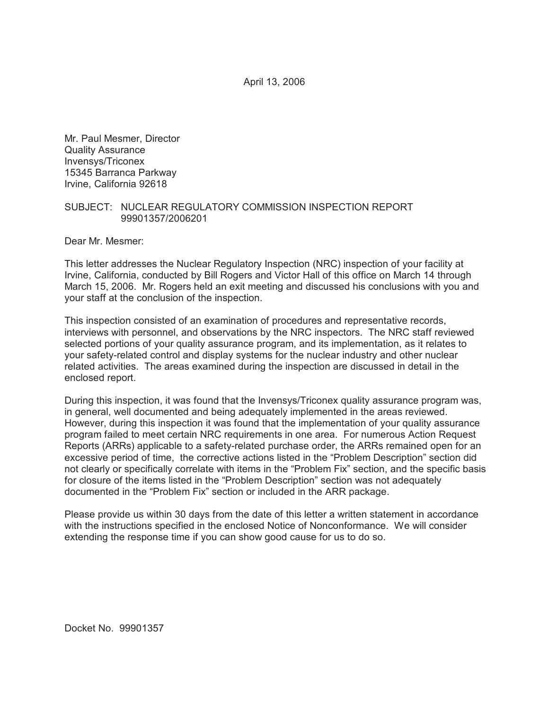April 13, 2006

Mr. Paul Mesmer, Director Quality Assurance Invensys/Triconex 15345 Barranca Parkway Irvine, California 92618

### SUBJECT: NUCLEAR REGULATORY COMMISSION INSPECTION REPORT 99901357/2006201

Dear Mr. Mesmer:

This letter addresses the Nuclear Regulatory Inspection (NRC) inspection of your facility at Irvine, California, conducted by Bill Rogers and Victor Hall of this office on March 14 through March 15, 2006. Mr. Rogers held an exit meeting and discussed his conclusions with you and your staff at the conclusion of the inspection.

This inspection consisted of an examination of procedures and representative records, interviews with personnel, and observations by the NRC inspectors. The NRC staff reviewed selected portions of your quality assurance program, and its implementation, as it relates to your safety-related control and display systems for the nuclear industry and other nuclear related activities. The areas examined during the inspection are discussed in detail in the enclosed report.

During this inspection, it was found that the Invensys/Triconex quality assurance program was, in general, well documented and being adequately implemented in the areas reviewed. However, during this inspection it was found that the implementation of your quality assurance program failed to meet certain NRC requirements in one area. For numerous Action Request Reports (ARRs) applicable to a safety-related purchase order, the ARRs remained open for an excessive period of time, the corrective actions listed in the "Problem Description" section did not clearly or specifically correlate with items in the "Problem Fix" section, and the specific basis for closure of the items listed in the "Problem Description" section was not adequately documented in the "Problem Fix" section or included in the ARR package.

Please provide us within 30 days from the date of this letter a written statement in accordance with the instructions specified in the enclosed Notice of Nonconformance. We will consider extending the response time if you can show good cause for us to do so.

Docket No. 99901357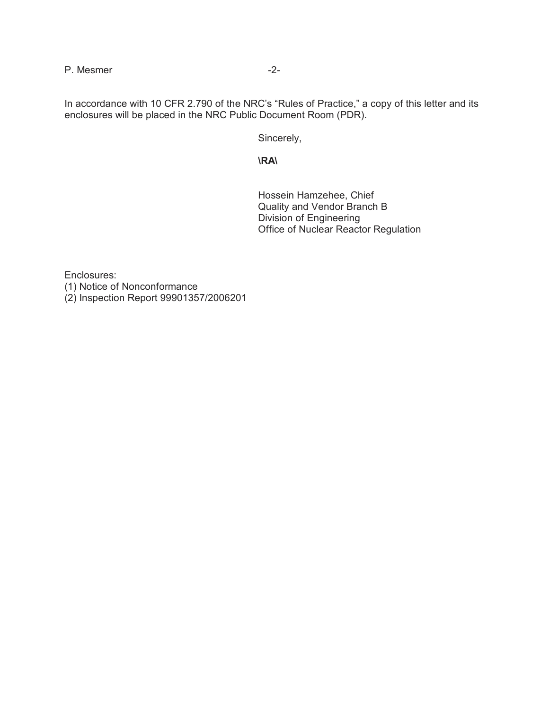P. Mesmer  $-2$ -

In accordance with 10 CFR 2.790 of the NRC's "Rules of Practice," a copy of this letter and its enclosures will be placed in the NRC Public Document Room (PDR).

Sincerely,

**\RA\**

Hossein Hamzehee, Chief Quality and Vendor Branch B Division of Engineering Office of Nuclear Reactor Regulation

Enclosures: (1) Notice of Nonconformance (2) Inspection Report 99901357/2006201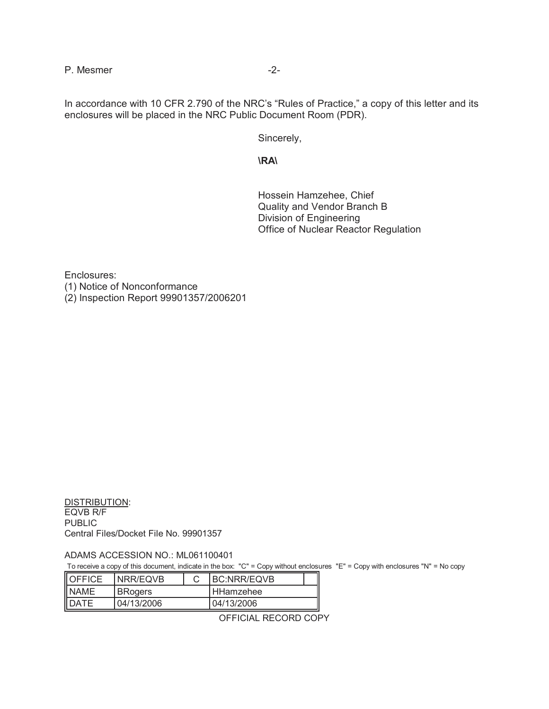P. Mesmer  $-2$ -

In accordance with 10 CFR 2.790 of the NRC's "Rules of Practice," a copy of this letter and its enclosures will be placed in the NRC Public Document Room (PDR).

Sincerely,

**\RA\**

Hossein Hamzehee, Chief Quality and Vendor Branch B Division of Engineering Office of Nuclear Reactor Regulation

Enclosures: (1) Notice of Nonconformance (2) Inspection Report 99901357/2006201

DISTRIBUTION: EQVB R/F **PUBLIC** Central Files/Docket File No. 99901357

ADAMS ACCESSION NO.: ML061100401

To receive a copy of this document, indicate in the box: "C" = Copy without enclosures "E" = Copy with enclosures "N" = No copy

| <b>OFFICE</b> | <b>INRR/EQVB</b> |  | <b>IBC:NRR/EQVB</b> |  |
|---------------|------------------|--|---------------------|--|
| <b>NAME</b>   | <b>BRogers</b>   |  | I HHamzehee         |  |
| DATE          | 04/13/2006       |  | 04/13/2006          |  |

OFFICIAL RECORD COPY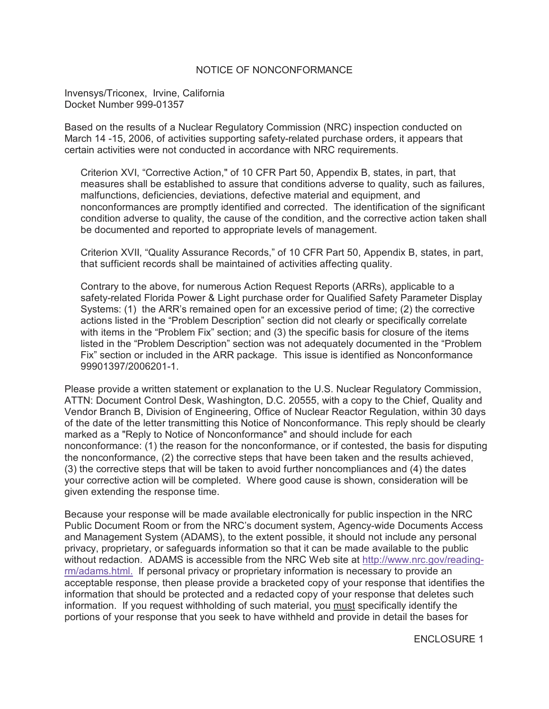### NOTICE OF NONCONFORMANCE

Invensys/Triconex, Irvine, California Docket Number 999-01357

Based on the results of a Nuclear Regulatory Commission (NRC) inspection conducted on March 14 -15, 2006, of activities supporting safety-related purchase orders, it appears that certain activities were not conducted in accordance with NRC requirements.

Criterion XVI, "Corrective Action," of 10 CFR Part 50, Appendix B, states, in part, that measures shall be established to assure that conditions adverse to quality, such as failures, malfunctions, deficiencies, deviations, defective material and equipment, and nonconformances are promptly identified and corrected. The identification of the significant condition adverse to quality, the cause of the condition, and the corrective action taken shall be documented and reported to appropriate levels of management.

Criterion XVII, "Quality Assurance Records," of 10 CFR Part 50, Appendix B, states, in part, that sufficient records shall be maintained of activities affecting quality.

Contrary to the above, for numerous Action Request Reports (ARRs), applicable to a safety-related Florida Power & Light purchase order for Qualified Safety Parameter Display Systems: (1) the ARR's remained open for an excessive period of time; (2) the corrective actions listed in the "Problem Description" section did not clearly or specifically correlate with items in the "Problem Fix" section; and (3) the specific basis for closure of the items listed in the "Problem Description" section was not adequately documented in the "Problem Fix" section or included in the ARR package. This issue is identified as Nonconformance 99901397/2006201-1.

Please provide a written statement or explanation to the U.S. Nuclear Regulatory Commission, ATTN: Document Control Desk, Washington, D.C. 20555, with a copy to the Chief, Quality and Vendor Branch B, Division of Engineering, Office of Nuclear Reactor Regulation, within 30 days of the date of the letter transmitting this Notice of Nonconformance. This reply should be clearly marked as a "Reply to Notice of Nonconformance" and should include for each nonconformance: (1) the reason for the nonconformance, or if contested, the basis for disputing the nonconformance, (2) the corrective steps that have been taken and the results achieved, (3) the corrective steps that will be taken to avoid further noncompliances and (4) the dates your corrective action will be completed. Where good cause is shown, consideration will be given extending the response time.

Because your response will be made available electronically for public inspection in the NRC Public Document Room or from the NRC's document system, Agency-wide Documents Access and Management System (ADAMS), to the extent possible, it should not include any personal privacy, proprietary, or safeguards information so that it can be made available to the public without redaction. ADAMS is accessible from the NRC Web site at http://www.nrc.gov/readingrm/adams.html. If personal privacy or proprietary information is necessary to provide an acceptable response, then please provide a bracketed copy of your response that identifies the information that should be protected and a redacted copy of your response that deletes such information. If you request withholding of such material, you must specifically identify the portions of your response that you seek to have withheld and provide in detail the bases for

ENCLOSURE 1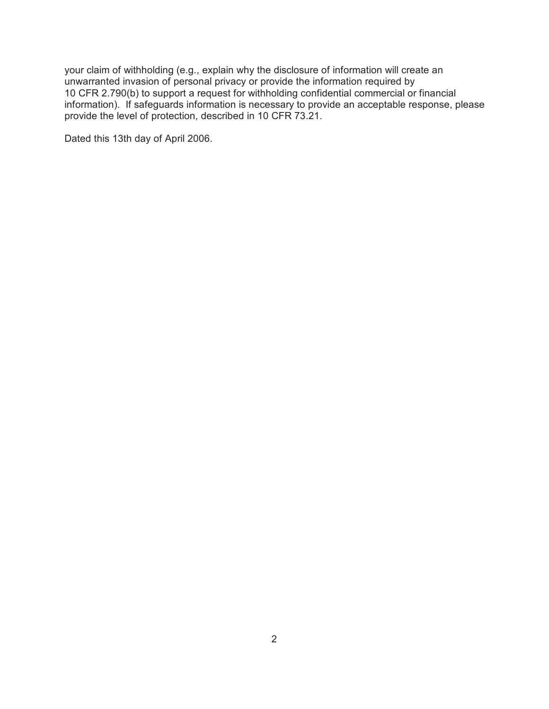your claim of withholding (e.g., explain why the disclosure of information will create an unwarranted invasion of personal privacy or provide the information required by 10 CFR 2.790(b) to support a request for withholding confidential commercial or financial information). If safeguards information is necessary to provide an acceptable response, please provide the level of protection, described in 10 CFR 73.21.

Dated this 13th day of April 2006.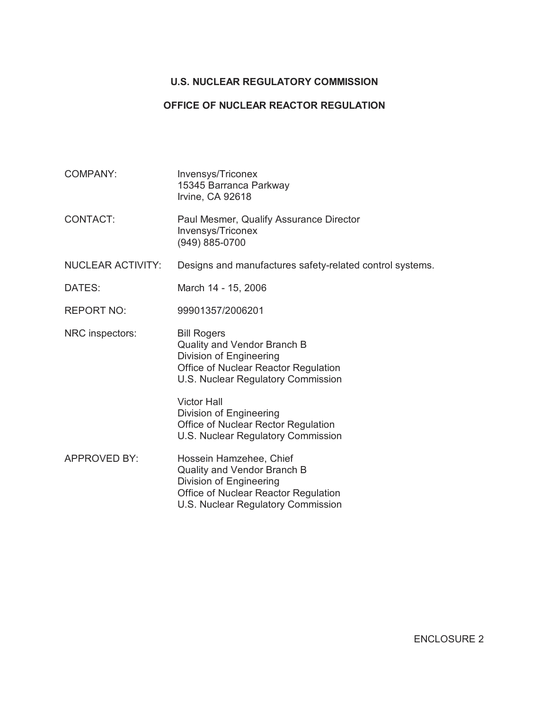## **U.S. NUCLEAR REGULATORY COMMISSION**

### **OFFICE OF NUCLEAR REACTOR REGULATION**

COMPANY: Invensys/Triconex 15345 Barranca Parkway Irvine, CA 92618 CONTACT: Paul Mesmer, Qualify Assurance Director Invensys/Triconex (949) 885-0700 NUCLEAR ACTIVITY: Designs and manufactures safety-related control systems. DATES: March 14 - 15, 2006 REPORT NO: 99901357/2006201 NRC inspectors: Bill Rogers Quality and Vendor Branch B Division of Engineering Office of Nuclear Reactor Regulation U.S. Nuclear Regulatory Commission Victor Hall Division of Engineering Office of Nuclear Rector Regulation U.S. Nuclear Regulatory Commission APPROVED BY: Hossein Hamzehee, Chief Quality and Vendor Branch B Division of Engineering Office of Nuclear Reactor Regulation U.S. Nuclear Regulatory Commission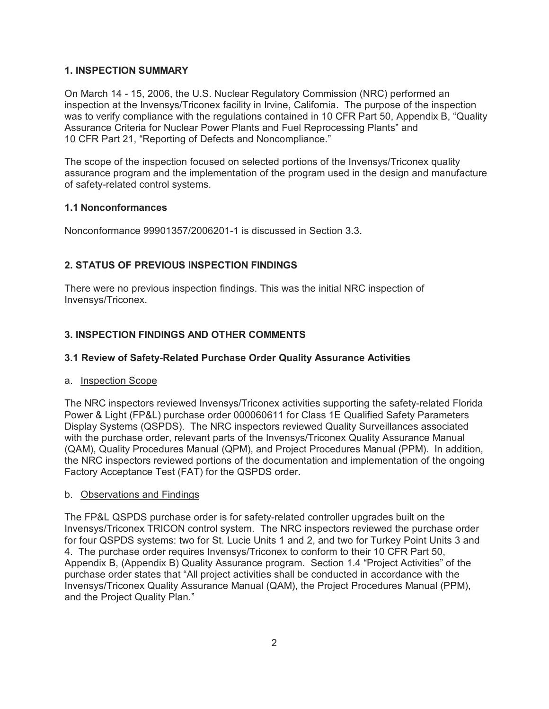## **1. INSPECTION SUMMARY**

On March 14 - 15, 2006, the U.S. Nuclear Regulatory Commission (NRC) performed an inspection at the Invensys/Triconex facility in Irvine, California. The purpose of the inspection was to verify compliance with the regulations contained in 10 CFR Part 50, Appendix B, "Quality Assurance Criteria for Nuclear Power Plants and Fuel Reprocessing Plants" and 10 CFR Part 21, "Reporting of Defects and Noncompliance."

The scope of the inspection focused on selected portions of the Invensys/Triconex quality assurance program and the implementation of the program used in the design and manufacture of safety-related control systems.

### **1.1 Nonconformances**

Nonconformance 99901357/2006201-1 is discussed in Section 3.3.

# **2. STATUS OF PREVIOUS INSPECTION FINDINGS**

There were no previous inspection findings. This was the initial NRC inspection of Invensys/Triconex.

# **3. INSPECTION FINDINGS AND OTHER COMMENTS**

## **3.1 Review of Safety-Related Purchase Order Quality Assurance Activities**

#### a. Inspection Scope

The NRC inspectors reviewed Invensys/Triconex activities supporting the safety-related Florida Power & Light (FP&L) purchase order 000060611 for Class 1E Qualified Safety Parameters Display Systems (QSPDS). The NRC inspectors reviewed Quality Surveillances associated with the purchase order, relevant parts of the Invensys/Triconex Quality Assurance Manual (QAM), Quality Procedures Manual (QPM), and Project Procedures Manual (PPM). In addition, the NRC inspectors reviewed portions of the documentation and implementation of the ongoing Factory Acceptance Test (FAT) for the QSPDS order.

#### b. Observations and Findings

The FP&L QSPDS purchase order is for safety-related controller upgrades built on the Invensys/Triconex TRICON control system. The NRC inspectors reviewed the purchase order for four QSPDS systems: two for St. Lucie Units 1 and 2, and two for Turkey Point Units 3 and 4. The purchase order requires Invensys/Triconex to conform to their 10 CFR Part 50, Appendix B, (Appendix B) Quality Assurance program. Section 1.4 "Project Activities" of the purchase order states that "All project activities shall be conducted in accordance with the Invensys/Triconex Quality Assurance Manual (QAM), the Project Procedures Manual (PPM), and the Project Quality Plan."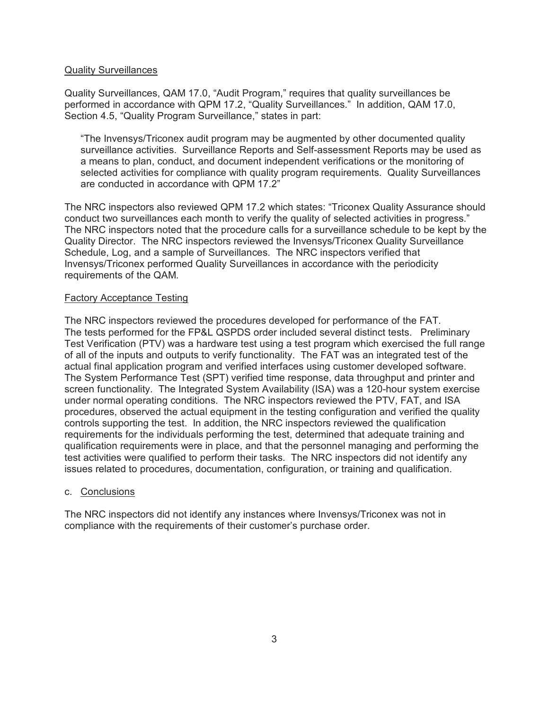#### Quality Surveillances

Quality Surveillances, QAM 17.0, "Audit Program," requires that quality surveillances be performed in accordance with QPM 17.2, "Quality Surveillances." In addition, QAM 17.0, Section 4.5, "Quality Program Surveillance," states in part:

"The Invensys/Triconex audit program may be augmented by other documented quality surveillance activities. Surveillance Reports and Self-assessment Reports may be used as a means to plan, conduct, and document independent verifications or the monitoring of selected activities for compliance with quality program requirements. Quality Surveillances are conducted in accordance with OPM 17.2"

The NRC inspectors also reviewed QPM 17.2 which states: "Triconex Quality Assurance should conduct two surveillances each month to verify the quality of selected activities in progress." The NRC inspectors noted that the procedure calls for a surveillance schedule to be kept by the Quality Director. The NRC inspectors reviewed the Invensys/Triconex Quality Surveillance Schedule, Log, and a sample of Surveillances. The NRC inspectors verified that Invensys/Triconex performed Quality Surveillances in accordance with the periodicity requirements of the QAM.

#### Factory Acceptance Testing

The NRC inspectors reviewed the procedures developed for performance of the FAT. The tests performed for the FP&L QSPDS order included several distinct tests. Preliminary Test Verification (PTV) was a hardware test using a test program which exercised the full range of all of the inputs and outputs to verify functionality. The FAT was an integrated test of the actual final application program and verified interfaces using customer developed software. The System Performance Test (SPT) verified time response, data throughput and printer and screen functionality. The Integrated System Availability (ISA) was a 120-hour system exercise under normal operating conditions. The NRC inspectors reviewed the PTV, FAT, and ISA procedures, observed the actual equipment in the testing configuration and verified the quality controls supporting the test. In addition, the NRC inspectors reviewed the qualification requirements for the individuals performing the test, determined that adequate training and qualification requirements were in place, and that the personnel managing and performing the test activities were qualified to perform their tasks. The NRC inspectors did not identify any issues related to procedures, documentation, configuration, or training and qualification.

#### c. Conclusions

The NRC inspectors did not identify any instances where Invensys/Triconex was not in compliance with the requirements of their customer's purchase order.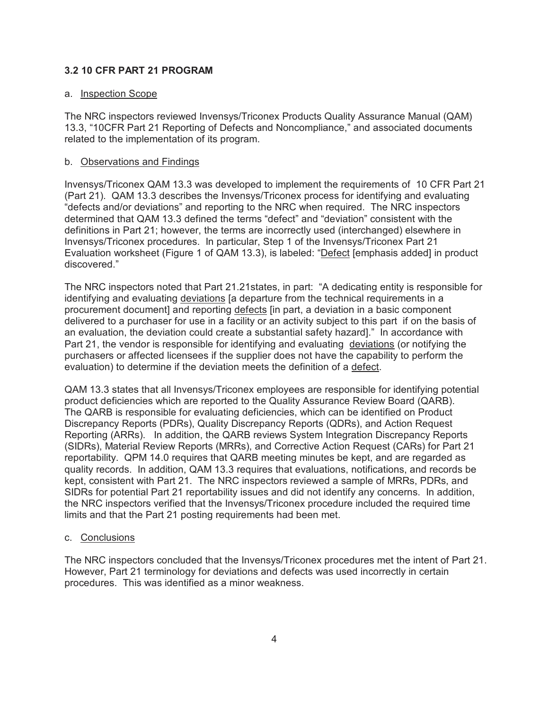### **3.2 10 CFR PART 21 PROGRAM**

#### a. Inspection Scope

The NRC inspectors reviewed Invensys/Triconex Products Quality Assurance Manual (QAM) 13.3, "10CFR Part 21 Reporting of Defects and Noncompliance," and associated documents related to the implementation of its program.

### b. Observations and Findings

Invensys/Triconex QAM 13.3 was developed to implement the requirements of 10 CFR Part 21 (Part 21). QAM 13.3 describes the Invensys/Triconex process for identifying and evaluating "defects and/or deviations" and reporting to the NRC when required. The NRC inspectors determined that QAM 13.3 defined the terms "defect" and "deviation" consistent with the definitions in Part 21; however, the terms are incorrectly used (interchanged) elsewhere in Invensys/Triconex procedures. In particular, Step 1 of the Invensys/Triconex Part 21 Evaluation worksheet (Figure 1 of QAM 13.3), is labeled: "Defect [emphasis added] in product discovered."

The NRC inspectors noted that Part 21.21states, in part: "A dedicating entity is responsible for identifying and evaluating deviations [a departure from the technical requirements in a procurement document] and reporting defects [in part, a deviation in a basic component delivered to a purchaser for use in a facility or an activity subject to this part if on the basis of an evaluation, the deviation could create a substantial safety hazard]." In accordance with Part 21, the vendor is responsible for identifying and evaluating deviations (or notifying the purchasers or affected licensees if the supplier does not have the capability to perform the evaluation) to determine if the deviation meets the definition of a defect.

QAM 13.3 states that all Invensys/Triconex employees are responsible for identifying potential product deficiencies which are reported to the Quality Assurance Review Board (QARB). The QARB is responsible for evaluating deficiencies, which can be identified on Product Discrepancy Reports (PDRs), Quality Discrepancy Reports (QDRs), and Action Request Reporting (ARRs). In addition, the QARB reviews System Integration Discrepancy Reports (SIDRs), Material Review Reports (MRRs), and Corrective Action Request (CARs) for Part 21 reportability. QPM 14.0 requires that QARB meeting minutes be kept, and are regarded as quality records. In addition, QAM 13.3 requires that evaluations, notifications, and records be kept, consistent with Part 21. The NRC inspectors reviewed a sample of MRRs, PDRs, and SIDRs for potential Part 21 reportability issues and did not identify any concerns. In addition, the NRC inspectors verified that the Invensys/Triconex procedure included the required time limits and that the Part 21 posting requirements had been met.

#### c. Conclusions

The NRC inspectors concluded that the Invensys/Triconex procedures met the intent of Part 21. However, Part 21 terminology for deviations and defects was used incorrectly in certain procedures. This was identified as a minor weakness.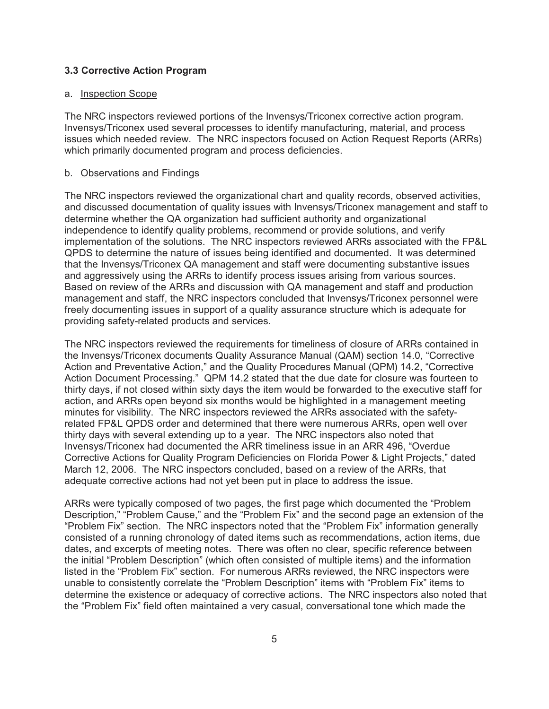#### **3.3 Corrective Action Program**

#### a. Inspection Scope

The NRC inspectors reviewed portions of the Invensys/Triconex corrective action program. Invensys/Triconex used several processes to identify manufacturing, material, and process issues which needed review. The NRC inspectors focused on Action Request Reports (ARRs) which primarily documented program and process deficiencies.

#### b. Observations and Findings

The NRC inspectors reviewed the organizational chart and quality records, observed activities, and discussed documentation of quality issues with Invensys/Triconex management and staff to determine whether the QA organization had sufficient authority and organizational independence to identify quality problems, recommend or provide solutions, and verify implementation of the solutions. The NRC inspectors reviewed ARRs associated with the FP&L QPDS to determine the nature of issues being identified and documented. It was determined that the Invensys/Triconex QA management and staff were documenting substantive issues and aggressively using the ARRs to identify process issues arising from various sources. Based on review of the ARRs and discussion with QA management and staff and production management and staff, the NRC inspectors concluded that Invensys/Triconex personnel were freely documenting issues in support of a quality assurance structure which is adequate for providing safety-related products and services.

The NRC inspectors reviewed the requirements for timeliness of closure of ARRs contained in the Invensys/Triconex documents Quality Assurance Manual (QAM) section 14.0, "Corrective Action and Preventative Action," and the Quality Procedures Manual (QPM) 14.2, "Corrective Action Document Processing." QPM 14.2 stated that the due date for closure was fourteen to thirty days, if not closed within sixty days the item would be forwarded to the executive staff for action, and ARRs open beyond six months would be highlighted in a management meeting minutes for visibility. The NRC inspectors reviewed the ARRs associated with the safetyrelated FP&L QPDS order and determined that there were numerous ARRs, open well over thirty days with several extending up to a year. The NRC inspectors also noted that Invensys/Triconex had documented the ARR timeliness issue in an ARR 496, "Overdue Corrective Actions for Quality Program Deficiencies on Florida Power & Light Projects," dated March 12, 2006. The NRC inspectors concluded, based on a review of the ARRs, that adequate corrective actions had not yet been put in place to address the issue.

ARRs were typically composed of two pages, the first page which documented the "Problem Description," "Problem Cause," and the "Problem Fix" and the second page an extension of the "Problem Fix" section. The NRC inspectors noted that the "Problem Fix" information generally consisted of a running chronology of dated items such as recommendations, action items, due dates, and excerpts of meeting notes. There was often no clear, specific reference between the initial "Problem Description" (which often consisted of multiple items) and the information listed in the "Problem Fix" section. For numerous ARRs reviewed, the NRC inspectors were unable to consistently correlate the "Problem Description" items with "Problem Fix" items to determine the existence or adequacy of corrective actions. The NRC inspectors also noted that the "Problem Fix" field often maintained a very casual, conversational tone which made the